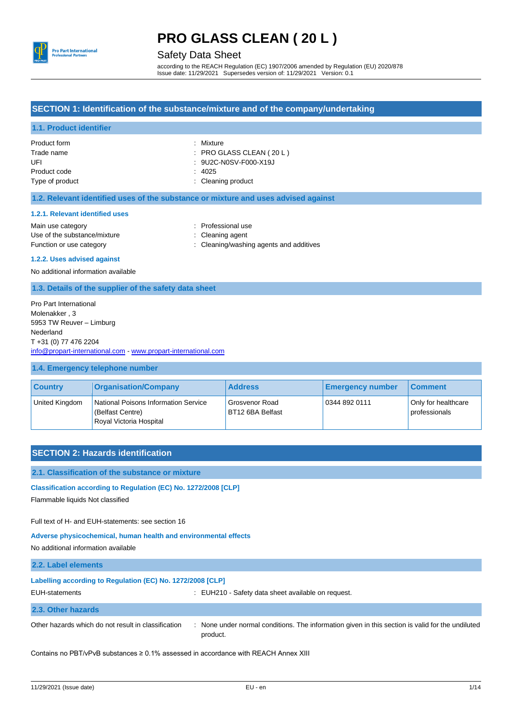

Safety Data Sheet

according to the REACH Regulation (EC) 1907/2006 amended by Regulation (EU) 2020/878 Issue date: 11/29/2021 Supersedes version of: 11/29/2021 Version: 0.1

## **SECTION 1: Identification of the substance/mixture and of the company/undertaking**

### **1.1. Product identifier**

| Product form    | : Mixture                  |
|-----------------|----------------------------|
| Trade name      | $:$ PRO GLASS CLEAN (20 L) |
| UFL             | : 9U2C-N0SV-F000-X19J      |
| Product code    | : 4025                     |
| Type of product | : Cleaning product         |

#### **1.2. Relevant identified uses of the substance or mixture and uses advised against**

#### **1.2.1. Relevant identified uses**

Main use category **Example 20** and the Main use category of the Main use the Main use Use of the substance/mixture : Cleaning agent

- 
- Function or use category **interprettively** : Cleaning/washing agents and additives

#### **1.2.2. Uses advised against**

No additional information available

#### **1.3. Details of the supplier of the safety data sheet**

Pro Part International Molenakker , 3 5953 TW Reuver – Limburg Nederland T +31 (0) 77 476 2204 [info@propart-international.com](mailto:info@propart-international.com) - [www.propart-international.com](http://www.propart-international.com/)

#### **1.4. Emergency telephone number**

| <b>Country</b> | <b>Organisation/Company</b>                                                         | <b>Address</b>                     | <b>Emergency number</b> | Comment                              |
|----------------|-------------------------------------------------------------------------------------|------------------------------------|-------------------------|--------------------------------------|
| United Kingdom | National Poisons Information Service<br>(Belfast Centre)<br>Royal Victoria Hospital | Grosvenor Road<br>BT12 6BA Belfast | 0344 892 0111           | Only for healthcare<br>professionals |

### **SECTION 2: Hazards identification**

**2.1. Classification of the substance or mixture**

#### **Classification according to Regulation (EC) No. 1272/2008 [CLP]**

Flammable liquids Not classified

Full text of H- and EUH-statements: see section 16

**Adverse physicochemical, human health and environmental effects**

No additional information available

| 2.2. Label elements                                        |                                                                                                  |
|------------------------------------------------------------|--------------------------------------------------------------------------------------------------|
| Labelling according to Regulation (EC) No. 1272/2008 [CLP] |                                                                                                  |
| EUH-statements                                             | : EUH210 - Safety data sheet available on request.                                               |
| 2.3. Other hazards                                         |                                                                                                  |
| Other hazards which do not result in classification        | : None under normal conditions. The information given in this section is valid for the undiluted |

Contains no PBT/vPvB substances ≥ 0.1% assessed in accordance with REACH Annex XIII

product.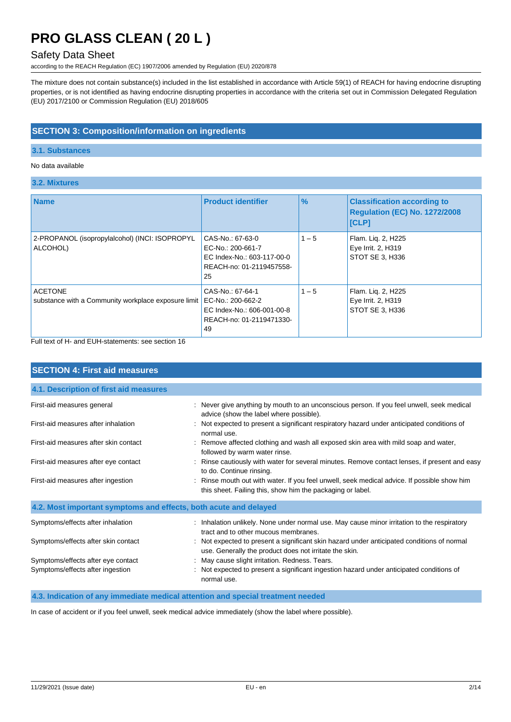## Safety Data Sheet

according to the REACH Regulation (EC) 1907/2006 amended by Regulation (EU) 2020/878

The mixture does not contain substance(s) included in the list established in accordance with Article 59(1) of REACH for having endocrine disrupting properties, or is not identified as having endocrine disrupting properties in accordance with the criteria set out in Commission Delegated Regulation (EU) 2017/2100 or Commission Regulation (EU) 2018/605

## **SECTION 3: Composition/information on ingredients**

### **3.1. Substances**

### No data available

**3.2. Mixtures**

| <b>Name</b>                                                           | <b>Product identifier</b>                                                                             | $\%$    | <b>Classification according to</b><br><b>Regulation (EC) No. 1272/2008</b><br>[CLP] |
|-----------------------------------------------------------------------|-------------------------------------------------------------------------------------------------------|---------|-------------------------------------------------------------------------------------|
| 2-PROPANOL (isopropylalcohol) (INCI: ISOPROPYL<br>ALCOHOL)            | CAS-No.: 67-63-0<br>EC-No.: 200-661-7<br>EC Index-No.: 603-117-00-0<br>REACH-no: 01-2119457558-<br>25 | $1 - 5$ | Flam. Lig. 2, H225<br>Eye Irrit. 2, H319<br>STOT SE 3, H336                         |
| <b>ACETONE</b><br>substance with a Community workplace exposure limit | CAS-No.: 67-64-1<br>EC-No.: 200-662-2<br>EC Index-No.: 606-001-00-8<br>REACH-no: 01-2119471330-<br>49 | $1 - 5$ | Flam. Lig. 2, H225<br>Eye Irrit. 2, H319<br>STOT SE 3, H336                         |

Full text of H- and EUH-statements: see section 16

| <b>SECTION 4: First aid measures</b>                             |                                                                                                                                                         |
|------------------------------------------------------------------|---------------------------------------------------------------------------------------------------------------------------------------------------------|
| 4.1. Description of first aid measures                           |                                                                                                                                                         |
| First-aid measures general                                       | : Never give anything by mouth to an unconscious person. If you feel unwell, seek medical<br>advice (show the label where possible).                    |
| First-aid measures after inhalation                              | : Not expected to present a significant respiratory hazard under anticipated conditions of<br>normal use.                                               |
| First-aid measures after skin contact                            | : Remove affected clothing and wash all exposed skin area with mild soap and water,<br>followed by warm water rinse.                                    |
| First-aid measures after eye contact                             | : Rinse cautiously with water for several minutes. Remove contact lenses, if present and easy<br>to do. Continue rinsing.                               |
| First-aid measures after ingestion                               | Rinse mouth out with water. If you feel unwell, seek medical advice. If possible show him<br>this sheet. Failing this, show him the packaging or label. |
| 4.2. Most important symptoms and effects, both acute and delayed |                                                                                                                                                         |
| Symptoms/effects after inhalation                                | : Inhalation unlikely. None under normal use. May cause minor irritation to the respiratory<br>tract and to other mucous membranes.                     |
| Symptoms/effects after skin contact                              | : Not expected to present a significant skin hazard under anticipated conditions of normal<br>use. Generally the product does not irritate the skin.    |
| Symptoms/effects after eye contact                               | May cause slight irritation. Redness. Tears.                                                                                                            |
| Symptoms/effects after ingestion                                 | : Not expected to present a significant ingestion hazard under anticipated conditions of<br>normal use.                                                 |

**4.3. Indication of any immediate medical attention and special treatment needed**

In case of accident or if you feel unwell, seek medical advice immediately (show the label where possible).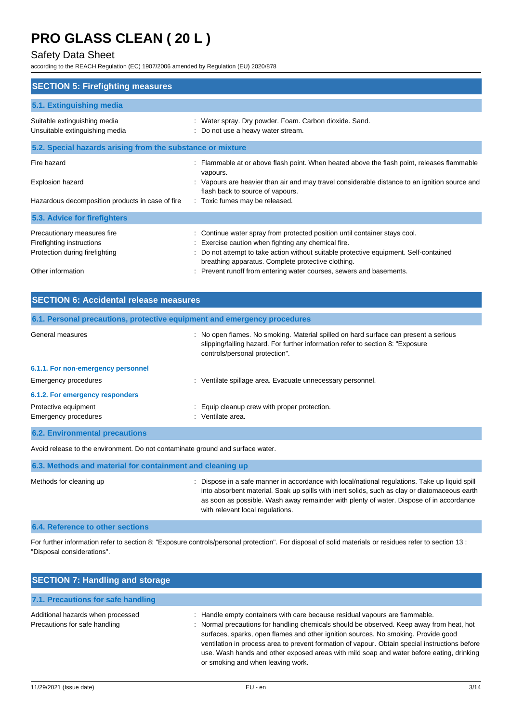## Safety Data Sheet

according to the REACH Regulation (EC) 1907/2006 amended by Regulation (EU) 2020/878

| <b>SECTION 5: Firefighting measures</b>                        |                                                                                                                                           |
|----------------------------------------------------------------|-------------------------------------------------------------------------------------------------------------------------------------------|
| 5.1. Extinguishing media                                       |                                                                                                                                           |
| Suitable extinguishing media<br>Unsuitable extinguishing media | : Water spray. Dry powder. Foam. Carbon dioxide. Sand.<br>: Do not use a heavy water stream.                                              |
| 5.2. Special hazards arising from the substance or mixture     |                                                                                                                                           |
| Fire hazard                                                    | Flammable at or above flash point. When heated above the flash point, releases flammable<br>vapours.                                      |
| Explosion hazard                                               | : Vapours are heavier than air and may travel considerable distance to an ignition source and<br>flash back to source of vapours.         |
| Hazardous decomposition products in case of fire               | : Toxic fumes may be released.                                                                                                            |
| 5.3. Advice for firefighters                                   |                                                                                                                                           |
| Precautionary measures fire<br>Firefighting instructions       | : Continue water spray from protected position until container stays cool.<br>Exercise caution when fighting any chemical fire.           |
| Protection during firefighting                                 | Do not attempt to take action without suitable protective equipment. Self-contained<br>breathing apparatus. Complete protective clothing. |
| Other information                                              | Prevent runoff from entering water courses, sewers and basements.                                                                         |

| <b>SECTION 6: Accidental release measures</b>                            |                                                                                                                                                                                                          |
|--------------------------------------------------------------------------|----------------------------------------------------------------------------------------------------------------------------------------------------------------------------------------------------------|
| 6.1. Personal precautions, protective equipment and emergency procedures |                                                                                                                                                                                                          |
| General measures                                                         | : No open flames. No smoking. Material spilled on hard surface can present a serious<br>slipping/falling hazard. For further information refer to section 8: "Exposure<br>controls/personal protection". |
| 6.1.1. For non-emergency personnel                                       |                                                                                                                                                                                                          |
| Emergency procedures                                                     | Ventilate spillage area. Evacuate unnecessary personnel.<br>t.                                                                                                                                           |
| 6.1.2. For emergency responders                                          |                                                                                                                                                                                                          |
| Protective equipment                                                     | : Equip cleanup crew with proper protection.                                                                                                                                                             |
| Emergency procedures                                                     | : Ventilate area.                                                                                                                                                                                        |
| <b>6.2. Environmental precautions</b>                                    |                                                                                                                                                                                                          |

Avoid release to the environment. Do not contaminate ground and surface water.

| 6.3. Methods and material for containment and cleaning up |                                                                                                                                                                                                                                                                                                                                |
|-----------------------------------------------------------|--------------------------------------------------------------------------------------------------------------------------------------------------------------------------------------------------------------------------------------------------------------------------------------------------------------------------------|
| Methods for cleaning up                                   | : Dispose in a safe manner in accordance with local/national regulations. Take up liquid spill<br>into absorbent material. Soak up spills with inert solids, such as clay or diatomaceous earth<br>as soon as possible. Wash away remainder with plenty of water. Dispose of in accordance<br>with relevant local regulations. |

## **6.4. Reference to other sections**

For further information refer to section 8: "Exposure controls/personal protection". For disposal of solid materials or residues refer to section 13 : "Disposal considerations".

| <b>SECTION 7: Handling and storage</b>                             |                                                                                                                                                                                                                                                                                                                                                                                                                                                                                                  |
|--------------------------------------------------------------------|--------------------------------------------------------------------------------------------------------------------------------------------------------------------------------------------------------------------------------------------------------------------------------------------------------------------------------------------------------------------------------------------------------------------------------------------------------------------------------------------------|
| 7.1. Precautions for safe handling                                 |                                                                                                                                                                                                                                                                                                                                                                                                                                                                                                  |
| Additional hazards when processed<br>Precautions for safe handling | : Handle empty containers with care because residual vapours are flammable.<br>: Normal precautions for handling chemicals should be observed. Keep away from heat, hot<br>surfaces, sparks, open flames and other ignition sources. No smoking. Provide good<br>ventilation in process area to prevent formation of vapour. Obtain special instructions before<br>use. Wash hands and other exposed areas with mild soap and water before eating, drinking<br>or smoking and when leaving work. |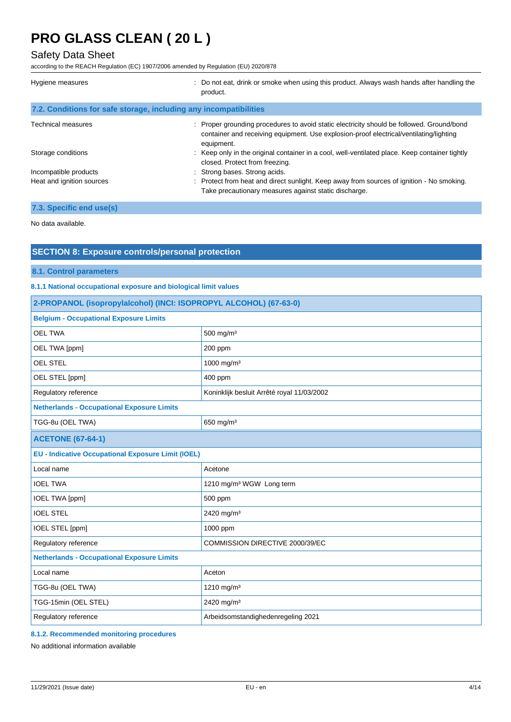## Safety Data Sheet

according to the REACH Regulation (EC) 1907/2006 amended by Regulation (EU) 2020/878

| Hygiene measures                                                  | : Do not eat, drink or smoke when using this product. Always wash hands after handling the<br>product.                                                                                            |
|-------------------------------------------------------------------|---------------------------------------------------------------------------------------------------------------------------------------------------------------------------------------------------|
| 7.2. Conditions for safe storage, including any incompatibilities |                                                                                                                                                                                                   |
| Technical measures                                                | : Proper grounding procedures to avoid static electricity should be followed. Ground/bond<br>container and receiving equipment. Use explosion-proof electrical/ventilating/lighting<br>equipment. |
| Storage conditions                                                | : Keep only in the original container in a cool, well-ventilated place. Keep container tightly<br>closed. Protect from freezing.                                                                  |
| Incompatible products                                             | : Strong bases. Strong acids.                                                                                                                                                                     |
| Heat and ignition sources                                         | : Protect from heat and direct sunlight. Keep away from sources of ignition - No smoking.<br>Take precautionary measures against static discharge.                                                |
| 7.3. Specific end use(s)                                          |                                                                                                                                                                                                   |

No data available.

## **SECTION 8: Exposure controls/personal protection**

### **8.1. Control parameters**

### **8.1.1 National occupational exposure and biological limit values**

| 2-PROPANOL (isopropylalcohol) (INCI: ISOPROPYL ALCOHOL) (67-63-0) |                                            |
|-------------------------------------------------------------------|--------------------------------------------|
| <b>Belgium - Occupational Exposure Limits</b>                     |                                            |
| <b>OEL TWA</b>                                                    | 500 mg/m <sup>3</sup>                      |
| OEL TWA [ppm]                                                     | 200 ppm                                    |
| <b>OEL STEL</b>                                                   | 1000 mg/m <sup>3</sup>                     |
| OEL STEL [ppm]                                                    | 400 ppm                                    |
| Regulatory reference                                              | Koninklijk besluit Arrêté royal 11/03/2002 |
| <b>Netherlands - Occupational Exposure Limits</b>                 |                                            |
| TGG-8u (OEL TWA)                                                  | 650 mg/m $3$                               |
| <b>ACETONE (67-64-1)</b>                                          |                                            |
| <b>EU - Indicative Occupational Exposure Limit (IOEL)</b>         |                                            |
| Local name                                                        | Acetone                                    |
| <b>IOEL TWA</b>                                                   | 1210 mg/m <sup>3</sup> WGW Long term       |
| <b>IOEL TWA [ppm]</b>                                             | 500 ppm                                    |
| <b>IOEL STEL</b>                                                  | 2420 mg/m <sup>3</sup>                     |
| IOEL STEL [ppm]                                                   | 1000 ppm                                   |
| Regulatory reference                                              | COMMISSION DIRECTIVE 2000/39/EC            |
| <b>Netherlands - Occupational Exposure Limits</b>                 |                                            |
| Local name                                                        | Aceton                                     |
| TGG-8u (OEL TWA)                                                  | 1210 mg/m <sup>3</sup>                     |
| TGG-15min (OEL STEL)                                              | 2420 mg/m <sup>3</sup>                     |
| Regulatory reference                                              | Arbeidsomstandighedenregeling 2021         |

## **8.1.2. Recommended monitoring procedures**

No additional information available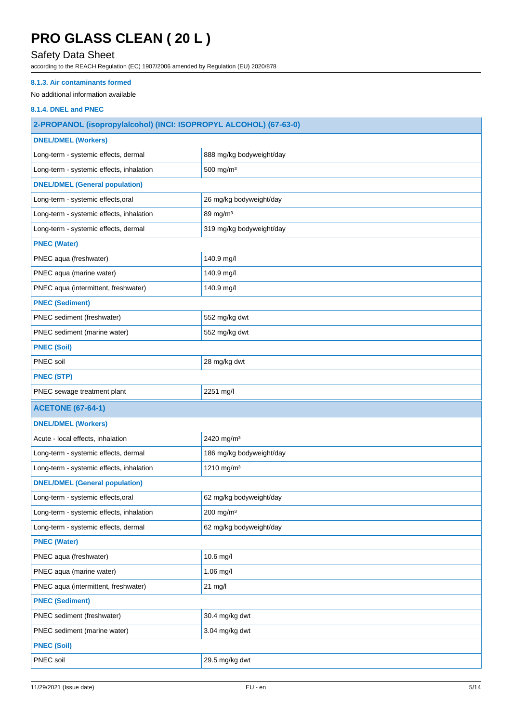## Safety Data Sheet

according to the REACH Regulation (EC) 1907/2006 amended by Regulation (EU) 2020/878

## **8.1.3. Air contaminants formed**

## No additional information available

## **8.1.4. DNEL and PNEC**

| 2-PROPANOL (isopropylalcohol) (INCI: ISOPROPYL ALCOHOL) (67-63-0) |                          |
|-------------------------------------------------------------------|--------------------------|
| <b>DNEL/DMEL (Workers)</b>                                        |                          |
| Long-term - systemic effects, dermal                              | 888 mg/kg bodyweight/day |
| Long-term - systemic effects, inhalation                          | 500 mg/m <sup>3</sup>    |
| <b>DNEL/DMEL (General population)</b>                             |                          |
| Long-term - systemic effects, oral                                | 26 mg/kg bodyweight/day  |
| Long-term - systemic effects, inhalation                          | 89 mg/m <sup>3</sup>     |
| Long-term - systemic effects, dermal                              | 319 mg/kg bodyweight/day |
| <b>PNEC (Water)</b>                                               |                          |
| PNEC aqua (freshwater)                                            | 140.9 mg/l               |
| PNEC aqua (marine water)                                          | 140.9 mg/l               |
| PNEC aqua (intermittent, freshwater)                              | 140.9 mg/l               |
| <b>PNEC (Sediment)</b>                                            |                          |
| PNEC sediment (freshwater)                                        | 552 mg/kg dwt            |
| PNEC sediment (marine water)                                      | 552 mg/kg dwt            |
| <b>PNEC (Soil)</b>                                                |                          |
| PNEC soil                                                         | 28 mg/kg dwt             |
| <b>PNEC (STP)</b>                                                 |                          |
| PNEC sewage treatment plant                                       | 2251 mg/l                |
|                                                                   |                          |
| <b>ACETONE (67-64-1)</b>                                          |                          |
| <b>DNEL/DMEL (Workers)</b>                                        |                          |
| Acute - local effects, inhalation                                 | 2420 mg/m <sup>3</sup>   |
| Long-term - systemic effects, dermal                              | 186 mg/kg bodyweight/day |
| Long-term - systemic effects, inhalation                          | 1210 mg/m <sup>3</sup>   |
| <b>DNEL/DMEL (General population)</b>                             |                          |
| Long-term - systemic effects, oral                                | 62 mg/kg bodyweight/day  |
| Long-term - systemic effects, inhalation                          | 200 mg/m <sup>3</sup>    |
| Long-term - systemic effects, dermal                              | 62 mg/kg bodyweight/day  |
| <b>PNEC (Water)</b>                                               |                          |
| PNEC aqua (freshwater)                                            | 10.6 mg/l                |
| PNEC aqua (marine water)                                          | 1.06 mg/l                |
| PNEC aqua (intermittent, freshwater)                              | 21 mg/l                  |
| <b>PNEC (Sediment)</b>                                            |                          |
| PNEC sediment (freshwater)                                        | 30.4 mg/kg dwt           |
| PNEC sediment (marine water)                                      | 3.04 mg/kg dwt           |
| <b>PNEC (Soil)</b>                                                |                          |
| PNEC soil                                                         | 29.5 mg/kg dwt           |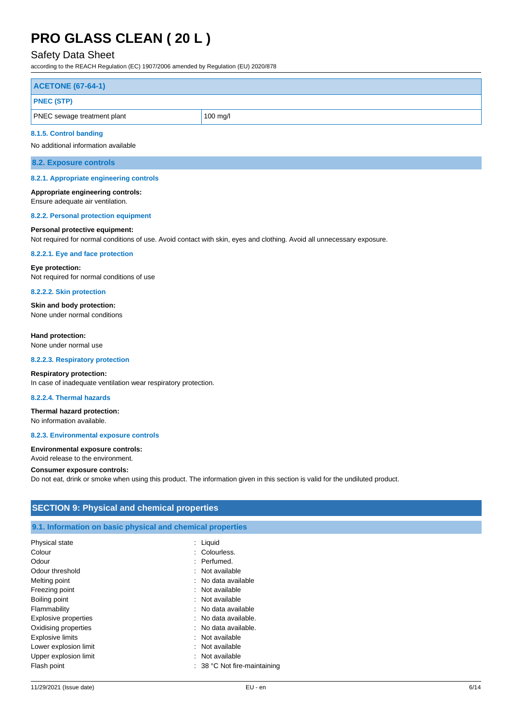## Safety Data Sheet

according to the REACH Regulation (EC) 1907/2006 amended by Regulation (EU) 2020/878

| <b>ACETONE (67-64-1)</b>           |            |
|------------------------------------|------------|
| <b>PNEC (STP)</b>                  |            |
| <b>PNEC</b> sewage treatment plant | $100$ mg/l |

#### **8.1.5. Control banding**

No additional information available

**8.2. Exposure controls**

#### **8.2.1. Appropriate engineering controls**

**Appropriate engineering controls:** Ensure adequate air ventilation.

## **8.2.2. Personal protection equipment**

#### **Personal protective equipment:**

Not required for normal conditions of use. Avoid contact with skin, eyes and clothing. Avoid all unnecessary exposure.

#### **8.2.2.1. Eye and face protection**

**Eye protection:** Not required for normal conditions of use

**8.2.2.2. Skin protection**

**Skin and body protection:** None under normal conditions

#### **Hand protection:**

None under normal use

#### **8.2.2.3. Respiratory protection**

#### **Respiratory protection:**

In case of inadequate ventilation wear respiratory protection.

### **8.2.2.4. Thermal hazards**

## **Thermal hazard protection:**

No information available.

#### **8.2.3. Environmental exposure controls**

**Environmental exposure controls:** Avoid release to the environment.

### **Consumer exposure controls:**

Do not eat, drink or smoke when using this product. The information given in this section is valid for the undiluted product.

## **SECTION 9: Physical and chemical properties**

#### **9.1. Information on basic physical and chemical properties**

| Physical state              | : Liquid                       |
|-----------------------------|--------------------------------|
| Colour                      | : Colourless.                  |
| Odour                       | : Perfumed.                    |
| Odour threshold             | : Not available                |
| Melting point               | : No data available            |
| Freezing point              | : Not available                |
| Boiling point               | : Not available                |
| Flammability                | : No data available            |
| <b>Explosive properties</b> | : No data available.           |
| Oxidising properties        | : No data available.           |
| <b>Explosive limits</b>     | : Not available                |
| Lower explosion limit       | : Not available                |
| Upper explosion limit       | : Not available                |
| Flash point                 | $: 38 °C$ Not fire-maintaining |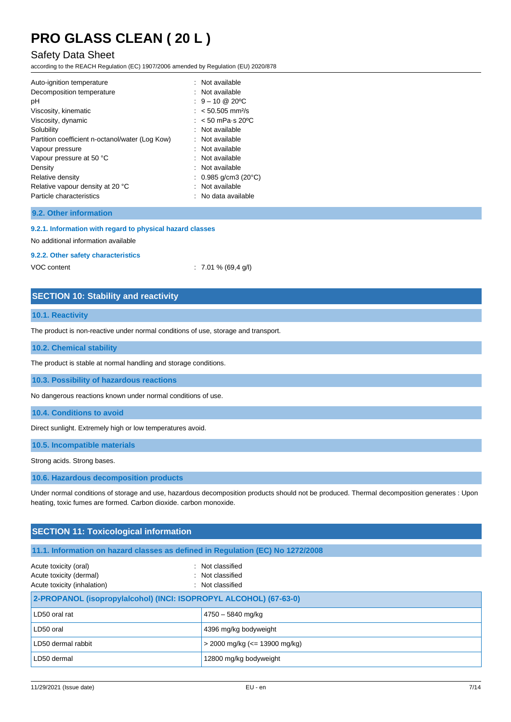## Safety Data Sheet

according to the REACH Regulation (EC) 1907/2006 amended by Regulation (EU) 2020/878

| Auto-ignition temperature                       | : Not available               |
|-------------------------------------------------|-------------------------------|
| Decomposition temperature                       | : Not available               |
| рH                                              | $: 9 - 10 \& 20^{\circ}$ C    |
| Viscosity, kinematic                            | $: 50.505$ mm <sup>2</sup> /s |
| Viscosity, dynamic                              | $:$ < 50 mPa s 20 °C          |
| Solubility                                      | : Not available               |
| Partition coefficient n-octanol/water (Log Kow) | $:$ Not available             |
| Vapour pressure                                 | : Not available               |
| Vapour pressure at 50 °C                        | : Not available               |
| Density                                         | : Not available               |
| Relative density                                | : 0.985 g/cm3 (20°C)          |
| Relative vapour density at 20 °C                | : Not available               |
| Particle characteristics                        | $:$ No data available         |

### **9.2. Other information**

#### **9.2.1. Information with regard to physical hazard classes**

No additional information available

### **9.2.2. Other safety characteristics**

VOC content : 7.01 % (69,4 g/l)

## **SECTION 10: Stability and reactivity**

### **10.1. Reactivity**

The product is non-reactive under normal conditions of use, storage and transport.

### **10.2. Chemical stability**

The product is stable at normal handling and storage conditions.

**10.3. Possibility of hazardous reactions**

No dangerous reactions known under normal conditions of use.

**10.4. Conditions to avoid**

Direct sunlight. Extremely high or low temperatures avoid.

**10.5. Incompatible materials**

Strong acids. Strong bases.

**10.6. Hazardous decomposition products**

Under normal conditions of storage and use, hazardous decomposition products should not be produced. Thermal decomposition generates : Upon heating, toxic fumes are formed. Carbon dioxide. carbon monoxide.

| <b>SECTION 11: Toxicological information</b>                                                                                                |                                     |  |  |
|---------------------------------------------------------------------------------------------------------------------------------------------|-------------------------------------|--|--|
| 11.1. Information on hazard classes as defined in Regulation (EC) No 1272/2008                                                              |                                     |  |  |
| : Not classified<br>Acute toxicity (oral)<br>Acute toxicity (dermal)<br>: Not classified<br>Acute toxicity (inhalation)<br>: Not classified |                                     |  |  |
| 2-PROPANOL (isopropylalcohol) (INCI: ISOPROPYL ALCOHOL) (67-63-0)                                                                           |                                     |  |  |
| LD50 oral rat                                                                                                                               | $4750 - 5840$ mg/kg                 |  |  |
| LD50 oral                                                                                                                                   | 4396 mg/kg bodyweight               |  |  |
| LD50 dermal rabbit                                                                                                                          | $>$ 2000 mg/kg ( $\le$ 13900 mg/kg) |  |  |
| LD50 dermal                                                                                                                                 | 12800 mg/kg bodyweight              |  |  |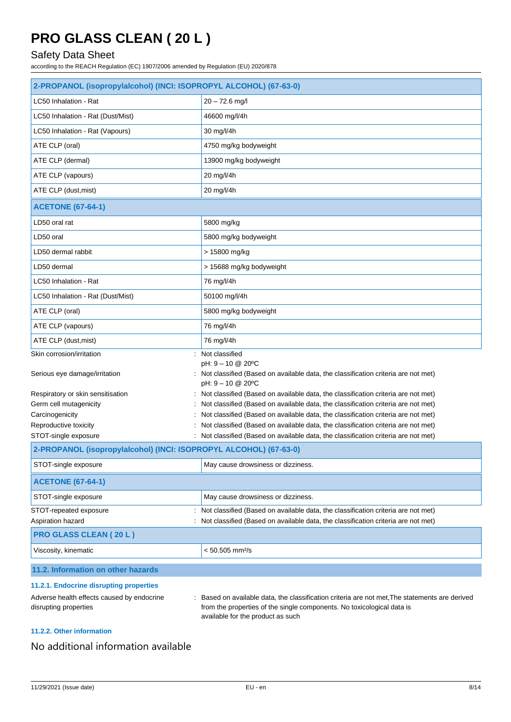## Safety Data Sheet

according to the REACH Regulation (EC) 1907/2006 amended by Regulation (EU) 2020/878

| 2-PROPANOL (isopropylalcohol) (INCI: ISOPROPYL ALCOHOL) (67-63-0)                         |                                                                                                                                                                        |  |
|-------------------------------------------------------------------------------------------|------------------------------------------------------------------------------------------------------------------------------------------------------------------------|--|
| LC50 Inhalation - Rat                                                                     | $20 - 72.6$ mg/l                                                                                                                                                       |  |
| LC50 Inhalation - Rat (Dust/Mist)                                                         | 46600 mg/l/4h                                                                                                                                                          |  |
| LC50 Inhalation - Rat (Vapours)                                                           | 30 mg/l/4h                                                                                                                                                             |  |
| ATE CLP (oral)                                                                            | 4750 mg/kg bodyweight                                                                                                                                                  |  |
| ATE CLP (dermal)                                                                          | 13900 mg/kg bodyweight                                                                                                                                                 |  |
| ATE CLP (vapours)                                                                         | 20 mg/l/4h                                                                                                                                                             |  |
| ATE CLP (dust, mist)                                                                      | 20 mg/l/4h                                                                                                                                                             |  |
| <b>ACETONE (67-64-1)</b>                                                                  |                                                                                                                                                                        |  |
| LD50 oral rat                                                                             | 5800 mg/kg                                                                                                                                                             |  |
| LD50 oral                                                                                 | 5800 mg/kg bodyweight                                                                                                                                                  |  |
| LD50 dermal rabbit                                                                        | > 15800 mg/kg                                                                                                                                                          |  |
| LD50 dermal                                                                               | > 15688 mg/kg bodyweight                                                                                                                                               |  |
| LC50 Inhalation - Rat                                                                     | 76 mg/l/4h                                                                                                                                                             |  |
| LC50 Inhalation - Rat (Dust/Mist)                                                         | 50100 mg/l/4h                                                                                                                                                          |  |
| ATE CLP (oral)                                                                            | 5800 mg/kg bodyweight                                                                                                                                                  |  |
| ATE CLP (vapours)                                                                         | 76 mg/l/4h                                                                                                                                                             |  |
| ATE CLP (dust, mist)                                                                      | 76 mg/l/4h                                                                                                                                                             |  |
| Skin corrosion/irritation                                                                 | : Not classified                                                                                                                                                       |  |
| Serious eye damage/irritation                                                             | pH: 9 - 10 @ 20°C<br>Not classified (Based on available data, the classification criteria are not met)<br>pH: 9 - 10 @ 20°C                                            |  |
| Respiratory or skin sensitisation                                                         | Not classified (Based on available data, the classification criteria are not met)                                                                                      |  |
| Germ cell mutagenicity                                                                    | Not classified (Based on available data, the classification criteria are not met)                                                                                      |  |
| Carcinogenicity                                                                           | Not classified (Based on available data, the classification criteria are not met)                                                                                      |  |
| Reproductive toxicity                                                                     | Not classified (Based on available data, the classification criteria are not met)                                                                                      |  |
| STOT-single exposure<br>2-PROPANOL (isopropylalcohol) (INCI: ISOPROPYL ALCOHOL) (67-63-0) | : Not classified (Based on available data, the classification criteria are not met)                                                                                    |  |
|                                                                                           |                                                                                                                                                                        |  |
| STOT-single exposure                                                                      | May cause drowsiness or dizziness.                                                                                                                                     |  |
| <b>ACETONE (67-64-1)</b>                                                                  |                                                                                                                                                                        |  |
| STOT-single exposure                                                                      | May cause drowsiness or dizziness.                                                                                                                                     |  |
| STOT-repeated exposure                                                                    | Not classified (Based on available data, the classification criteria are not met)                                                                                      |  |
| Aspiration hazard                                                                         | Not classified (Based on available data, the classification criteria are not met)                                                                                      |  |
| <b>PRO GLASS CLEAN (20 L)</b>                                                             |                                                                                                                                                                        |  |
| Viscosity, kinematic                                                                      | $< 50.505$ mm <sup>2</sup> /s                                                                                                                                          |  |
| 11.2. Information on other hazards                                                        |                                                                                                                                                                        |  |
| 11.2.1. Endocrine disrupting properties                                                   |                                                                                                                                                                        |  |
| Adverse health effects caused by endocrine<br>disrupting properties                       | Based on available data, the classification criteria are not met, The statements are derived<br>from the properties of the single components. No toxicological data is |  |

## from the properties of the single components. No toxicological data is available for the product as such

## **11.2.2. Other information**

## No additional information available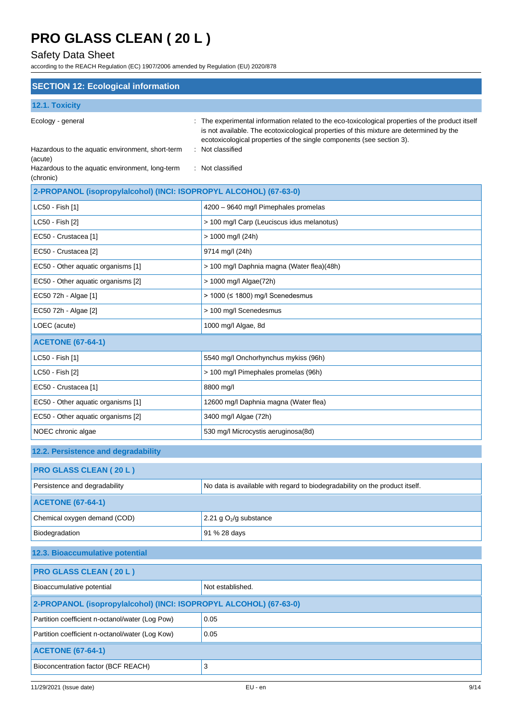## Safety Data Sheet

according to the REACH Regulation (EC) 1907/2006 amended by Regulation (EU) 2020/878

| <b>SECTION 12: Ecological information</b>                               |                                                                                                                                                                                                                                                                                      |  |  |
|-------------------------------------------------------------------------|--------------------------------------------------------------------------------------------------------------------------------------------------------------------------------------------------------------------------------------------------------------------------------------|--|--|
| 12.1. Toxicity                                                          |                                                                                                                                                                                                                                                                                      |  |  |
| Ecology - general<br>Hazardous to the aquatic environment, short-term   | The experimental information related to the eco-toxicological properties of the product itself<br>is not available. The ecotoxicological properties of this mixture are determined by the<br>ecotoxicological properties of the single components (see section 3).<br>Not classified |  |  |
| (acute)<br>Hazardous to the aquatic environment, long-term<br>(chronic) | : Not classified                                                                                                                                                                                                                                                                     |  |  |
| 2-PROPANOL (isopropylalcohol) (INCI: ISOPROPYL ALCOHOL) (67-63-0)       |                                                                                                                                                                                                                                                                                      |  |  |
| LC50 - Fish [1]                                                         | 4200 - 9640 mg/l Pimephales promelas                                                                                                                                                                                                                                                 |  |  |
| LC50 - Fish [2]                                                         | > 100 mg/l Carp (Leuciscus idus melanotus)                                                                                                                                                                                                                                           |  |  |
| EC50 - Crustacea [1]                                                    | $> 1000$ mg/l (24h)                                                                                                                                                                                                                                                                  |  |  |
| EC50 - Crustacea [2]                                                    | 9714 mg/l (24h)                                                                                                                                                                                                                                                                      |  |  |
| EC50 - Other aquatic organisms [1]                                      | > 100 mg/l Daphnia magna (Water flea)(48h)                                                                                                                                                                                                                                           |  |  |
| EC50 - Other aquatic organisms [2]                                      | > 1000 mg/l Algae(72h)                                                                                                                                                                                                                                                               |  |  |
| EC50 72h - Algae [1]                                                    | > 1000 (≤ 1800) mg/l Scenedesmus                                                                                                                                                                                                                                                     |  |  |
| EC50 72h - Algae [2]                                                    | > 100 mg/l Scenedesmus                                                                                                                                                                                                                                                               |  |  |
| LOEC (acute)                                                            | 1000 mg/l Algae, 8d                                                                                                                                                                                                                                                                  |  |  |
| <b>ACETONE (67-64-1)</b>                                                |                                                                                                                                                                                                                                                                                      |  |  |
| LC50 - Fish [1]                                                         | 5540 mg/l Onchorhynchus mykiss (96h)                                                                                                                                                                                                                                                 |  |  |
| LC50 - Fish [2]<br>> 100 mg/l Pimephales promelas (96h)                 |                                                                                                                                                                                                                                                                                      |  |  |
| EC50 - Crustacea [1]                                                    | 8800 mg/l                                                                                                                                                                                                                                                                            |  |  |
| EC50 - Other aquatic organisms [1]                                      | 12600 mg/l Daphnia magna (Water flea)                                                                                                                                                                                                                                                |  |  |
| EC50 - Other aquatic organisms [2]                                      | 3400 mg/l Algae (72h)                                                                                                                                                                                                                                                                |  |  |
| NOEC chronic algae                                                      | 530 mg/l Microcystis aeruginosa(8d)                                                                                                                                                                                                                                                  |  |  |
| 12.2. Persistence and degradability                                     |                                                                                                                                                                                                                                                                                      |  |  |
| <b>PRO GLASS CLEAN (20 L)</b>                                           |                                                                                                                                                                                                                                                                                      |  |  |
| Persistence and degradability                                           | No data is available with regard to biodegradability on the product itself.                                                                                                                                                                                                          |  |  |
| <b>ACETONE (67-64-1)</b>                                                |                                                                                                                                                                                                                                                                                      |  |  |
| Chemical oxygen demand (COD)                                            | 2.21 g $O_2$ /g substance                                                                                                                                                                                                                                                            |  |  |
| Biodegradation                                                          | 91 % 28 days                                                                                                                                                                                                                                                                         |  |  |
| 12.3. Bioaccumulative potential                                         |                                                                                                                                                                                                                                                                                      |  |  |
| <b>PRO GLASS CLEAN (20 L)</b>                                           |                                                                                                                                                                                                                                                                                      |  |  |
| Bioaccumulative potential                                               | Not established.                                                                                                                                                                                                                                                                     |  |  |
| 2-PROPANOL (isopropylalcohol) (INCI: ISOPROPYL ALCOHOL) (67-63-0)       |                                                                                                                                                                                                                                                                                      |  |  |
| Partition coefficient n-octanol/water (Log Pow)                         | 0.05                                                                                                                                                                                                                                                                                 |  |  |
| Partition coefficient n-octanol/water (Log Kow)                         | 0.05                                                                                                                                                                                                                                                                                 |  |  |
| <b>ACETONE (67-64-1)</b>                                                |                                                                                                                                                                                                                                                                                      |  |  |
| Bioconcentration factor (BCF REACH)                                     | 3                                                                                                                                                                                                                                                                                    |  |  |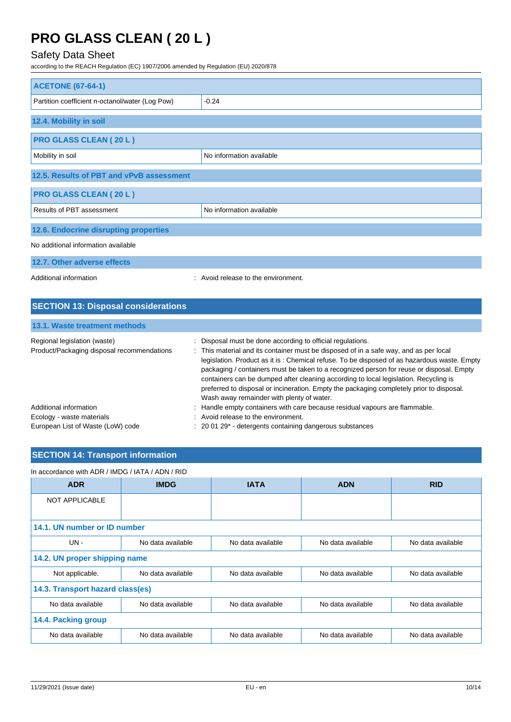## Safety Data Sheet

according to the REACH Regulation (EC) 1907/2006 amended by Regulation (EU) 2020/878

| <b>ACETONE (67-64-1)</b>                        |                          |  |
|-------------------------------------------------|--------------------------|--|
| Partition coefficient n-octanol/water (Log Pow) | $-0.24$                  |  |
| 12.4. Mobility in soil                          |                          |  |
| <b>PRO GLASS CLEAN (20 L)</b>                   |                          |  |
| Mobility in soil                                | No information available |  |
| 12.5. Results of PBT and vPvB assessment        |                          |  |
| <b>PRO GLASS CLEAN (20 L)</b>                   |                          |  |
| Results of PBT assessment                       | No information available |  |
| 12.6. Endocrine disrupting properties           |                          |  |
| No additional information available             |                          |  |
| 12.7. Other adverse effects                     |                          |  |

Additional information **interest in the environment** of the environment.

| <b>SECTION 13: Disposal considerations</b>                                 |                                                                                                                                                                                                                                                                                                                                                                                                                                                                                                                                                                                    |  |  |  |  |
|----------------------------------------------------------------------------|------------------------------------------------------------------------------------------------------------------------------------------------------------------------------------------------------------------------------------------------------------------------------------------------------------------------------------------------------------------------------------------------------------------------------------------------------------------------------------------------------------------------------------------------------------------------------------|--|--|--|--|
| 13.1. Waste treatment methods                                              |                                                                                                                                                                                                                                                                                                                                                                                                                                                                                                                                                                                    |  |  |  |  |
| Regional legislation (waste)<br>Product/Packaging disposal recommendations | Disposal must be done according to official regulations.<br>÷<br>: This material and its container must be disposed of in a safe way, and as per local<br>legislation. Product as it is: Chemical refuse. To be disposed of as hazardous waste. Empty<br>packaging / containers must be taken to a recognized person for reuse or disposal. Empty<br>containers can be dumped after cleaning according to local legislation. Recycling is<br>preferred to disposal or incineration. Empty the packaging completely prior to disposal.<br>Wash away remainder with plenty of water. |  |  |  |  |
| Additional information                                                     | Handle empty containers with care because residual vapours are flammable.<br>÷.                                                                                                                                                                                                                                                                                                                                                                                                                                                                                                    |  |  |  |  |
| Ecology - waste materials                                                  | : Avoid release to the environment.                                                                                                                                                                                                                                                                                                                                                                                                                                                                                                                                                |  |  |  |  |
| European List of Waste (LoW) code                                          | $: 200129$ - detergents containing dangerous substances                                                                                                                                                                                                                                                                                                                                                                                                                                                                                                                            |  |  |  |  |

## **SECTION 14: Transport information**

### In accordance with ADR / IMDG / IATA / ADN / RID

| <b>ADR</b>                       | <b>IMDG</b><br><b>IATA</b> |                   | <b>ADN</b>        | <b>RID</b>        |
|----------------------------------|----------------------------|-------------------|-------------------|-------------------|
| NOT APPLICABLE                   |                            |                   |                   |                   |
| 14.1. UN number or ID number     |                            |                   |                   |                   |
| $UN -$                           | No data available          | No data available | No data available | No data available |
| 14.2. UN proper shipping name    |                            |                   |                   |                   |
| Not applicable.                  | No data available          | No data available | No data available | No data available |
| 14.3. Transport hazard class(es) |                            |                   |                   |                   |
| No data available                | No data available          | No data available | No data available | No data available |
| 14.4. Packing group              |                            |                   |                   |                   |
| No data available                | No data available          | No data available | No data available | No data available |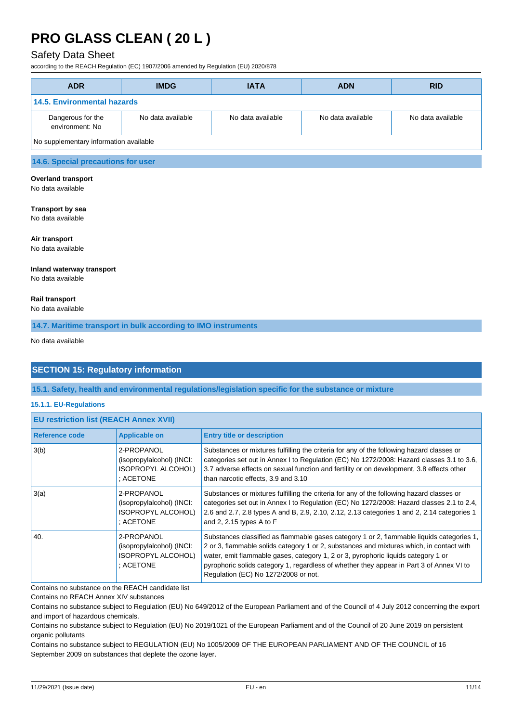## Safety Data Sheet

according to the REACH Regulation (EC) 1907/2006 amended by Regulation (EU) 2020/878

| <b>ADR</b>                             | <b>IMDG</b>       | <b>IATA</b>       | <b>ADN</b>        | <b>RID</b>        |
|----------------------------------------|-------------------|-------------------|-------------------|-------------------|
| <b>14.5. Environmental hazards</b>     |                   |                   |                   |                   |
| Dangerous for the<br>environment: No   | No data available | No data available | No data available | No data available |
| No supplementary information available |                   |                   |                   |                   |
| .                                      |                   |                   |                   |                   |

## **14.6. Special precautions for user**

**Overland transport**

No data available

## **Transport by sea**

No data available

**Air transport**

No data available

## **Inland waterway transport**

No data available

### **Rail transport**

No data available

**14.7. Maritime transport in bulk according to IMO instruments**

No data available

## **SECTION 15: Regulatory information**

**15.1. Safety, health and environmental regulations/legislation specific for the substance or mixture**

### **15.1.1. EU-Regulations**

| <b>EU restriction list (REACH Annex XVII)</b> |                                                                                   |                                                                                                                                                                                                                                                                                                                                                                                                                |  |
|-----------------------------------------------|-----------------------------------------------------------------------------------|----------------------------------------------------------------------------------------------------------------------------------------------------------------------------------------------------------------------------------------------------------------------------------------------------------------------------------------------------------------------------------------------------------------|--|
| Reference code                                | <b>Applicable on</b>                                                              | <b>Entry title or description</b>                                                                                                                                                                                                                                                                                                                                                                              |  |
| 3(b)                                          | 2-PROPANOL<br>(isopropylalcohol) (INCI:<br>ISOPROPYL ALCOHOL)<br>: ACETONE        | Substances or mixtures fulfilling the criteria for any of the following hazard classes or<br>categories set out in Annex I to Regulation (EC) No 1272/2008: Hazard classes 3.1 to 3.6,<br>3.7 adverse effects on sexual function and fertility or on development, 3.8 effects other<br>than narcotic effects, 3.9 and 3.10                                                                                     |  |
| 3(a)                                          | 2-PROPANOL<br>(isopropylalcohol) (INCI:<br>ISOPROPYL ALCOHOL)<br>: ACETONE        | Substances or mixtures fulfilling the criteria for any of the following hazard classes or<br>categories set out in Annex I to Regulation (EC) No 1272/2008: Hazard classes 2.1 to 2.4,<br>2.6 and 2.7, 2.8 types A and B, 2.9, 2.10, 2.12, 2.13 categories 1 and 2, 2.14 categories 1<br>and 2, 2.15 types A to F                                                                                              |  |
| 40.                                           | 2-PROPANOL<br>(isopropylalcohol) (INCI:<br><b>ISOPROPYL ALCOHOL)</b><br>: ACETONE | Substances classified as flammable gases category 1 or 2, flammable liquids categories 1,<br>2 or 3, flammable solids category 1 or 2, substances and mixtures which, in contact with<br>water, emit flammable gases, category 1, 2 or 3, pyrophoric liquids category 1 or<br>pyrophoric solids category 1, regardless of whether they appear in Part 3 of Annex VI to<br>Regulation (EC) No 1272/2008 or not. |  |

Contains no substance on the REACH candidate list

Contains no REACH Annex XIV substances

Contains no substance subject to REGULATION (EU) No 1005/2009 OF THE EUROPEAN PARLIAMENT AND OF THE COUNCIL of 16 September 2009 on substances that deplete the ozone layer.

Contains no substance subject to Regulation (EU) No 649/2012 of the European Parliament and of the Council of 4 July 2012 concerning the export and import of hazardous chemicals.

Contains no substance subject to Regulation (EU) No 2019/1021 of the European Parliament and of the Council of 20 June 2019 on persistent organic pollutants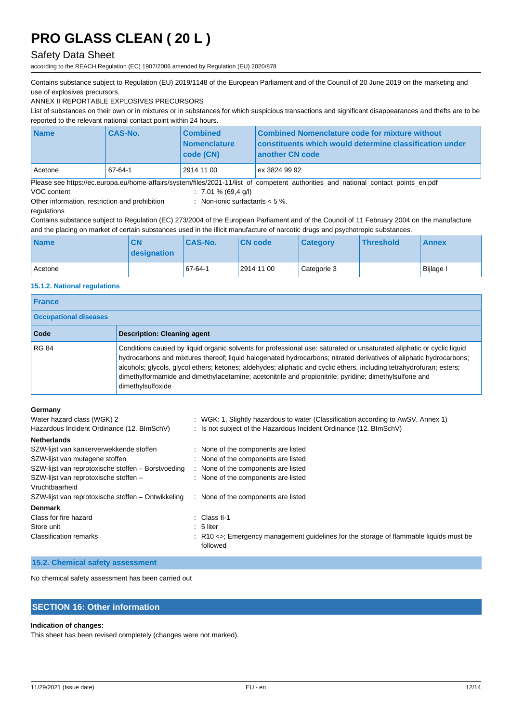## Safety Data Sheet

according to the REACH Regulation (EC) 1907/2006 amended by Regulation (EU) 2020/878

Contains substance subject to Regulation (EU) 2019/1148 of the European Parliament and of the Council of 20 June 2019 on the marketing and use of explosives precursors.

ANNEX II REPORTABLE EXPLOSIVES PRECURSORS

List of substances on their own or in mixtures or in substances for which suspicious transactions and significant disappearances and thefts are to be reported to the relevant national contact point within 24 hours.

| <b>Name</b>                                                                                                                        | <b>CAS-No.</b> | <b>Combined</b><br><i><b>Nomenclature</b></i><br>code (CN) | Combined Nomenclature code for mixture without<br>constituents which would determine classification under<br>another CN code |
|------------------------------------------------------------------------------------------------------------------------------------|----------------|------------------------------------------------------------|------------------------------------------------------------------------------------------------------------------------------|
| Acetone                                                                                                                            | 67-64-1        | 2914 11 00                                                 | ex 3824 99 92                                                                                                                |
| Please see https://ec.europa.eu/home-affairs/system/files/2021-11/list of competent authorities and national contact points en.pdf |                |                                                            |                                                                                                                              |

VOC content : 7.01 % (69,4 g/l)

Other information, restriction and prohibition regulations

: Non-ionic surfactants < 5 %.

Contains substance subject to Regulation (EC) 273/2004 of the European Parliament and of the Council of 11 February 2004 on the manufacture and the placing on market of certain substances used in the illicit manufacture of narcotic drugs and psychotropic substances.

| <b>Name</b> | <b>CN</b><br><b>designation</b> | <b>CAS-No.</b> | <b>CN</b> code | <b>Category</b> | <b>Threshold</b> | <b>Annex</b> |
|-------------|---------------------------------|----------------|----------------|-----------------|------------------|--------------|
| l Acetone   |                                 | $167 - 64 - 1$ | 2914 11 00     | Categorie 3     |                  | Bijlage I    |

### **15.1.2. National regulations**

| <b>France</b>                |                                                                                                                                                                                                                                                                                                                                                                                                                                                                                                       |  |  |
|------------------------------|-------------------------------------------------------------------------------------------------------------------------------------------------------------------------------------------------------------------------------------------------------------------------------------------------------------------------------------------------------------------------------------------------------------------------------------------------------------------------------------------------------|--|--|
| <b>Occupational diseases</b> |                                                                                                                                                                                                                                                                                                                                                                                                                                                                                                       |  |  |
| Code                         | <b>Description: Cleaning agent</b>                                                                                                                                                                                                                                                                                                                                                                                                                                                                    |  |  |
| <b>RG 84</b>                 | Conditions caused by liquid organic solvents for professional use: saturated or unsaturated aliphatic or cyclic liquid<br>hydrocarbons and mixtures thereof; liquid halogenated hydrocarbons; nitrated derivatives of aliphatic hydrocarbons;<br>alcohols; glycols, glycol ethers; ketones; aldehydes; aliphatic and cyclic ethers, including tetrahydrofuran; esters;<br>dimethylformamide and dimethylacetamine; acetonitrile and propionitrile; pyridine; dimethylsulfone and<br>dimethylsulfoxide |  |  |

### **Germany**

| Water hazard class (WGK) 2<br>Hazardous Incident Ordinance (12. BImSchV) |  | : WGK: 1, Slightly hazardous to water (Classification according to AwSV, Annex 1)<br>: Is not subject of the Hazardous Incident Ordinance (12. BImSchV) |
|--------------------------------------------------------------------------|--|---------------------------------------------------------------------------------------------------------------------------------------------------------|
| <b>Netherlands</b>                                                       |  |                                                                                                                                                         |
| SZW-lijst van kankerverwekkende stoffen                                  |  | : None of the components are listed                                                                                                                     |
| SZW-lijst van mutagene stoffen                                           |  | : None of the components are listed                                                                                                                     |
| SZW-lijst van reprotoxische stoffen – Borstvoeding                       |  | : None of the components are listed                                                                                                                     |
| SZW-lijst van reprotoxische stoffen -                                    |  | : None of the components are listed                                                                                                                     |
| Vruchtbaarheid                                                           |  |                                                                                                                                                         |
| SZW-lijst van reprotoxische stoffen – Ontwikkeling                       |  | : None of the components are listed                                                                                                                     |
| <b>Denmark</b>                                                           |  |                                                                                                                                                         |
| Class for fire hazard                                                    |  | $\therefore$ Class II-1                                                                                                                                 |
| Store unit                                                               |  | $: 5$ liter                                                                                                                                             |
| <b>Classification remarks</b>                                            |  | $\therefore$ R10 $\lt$ Emergency management guidelines for the storage of flammable liquids must be<br>followed                                         |

### **15.2. Chemical safety assessment**

No chemical safety assessment has been carried out

## **SECTION 16: Other information**

#### **Indication of changes:**

This sheet has been revised completely (changes were not marked).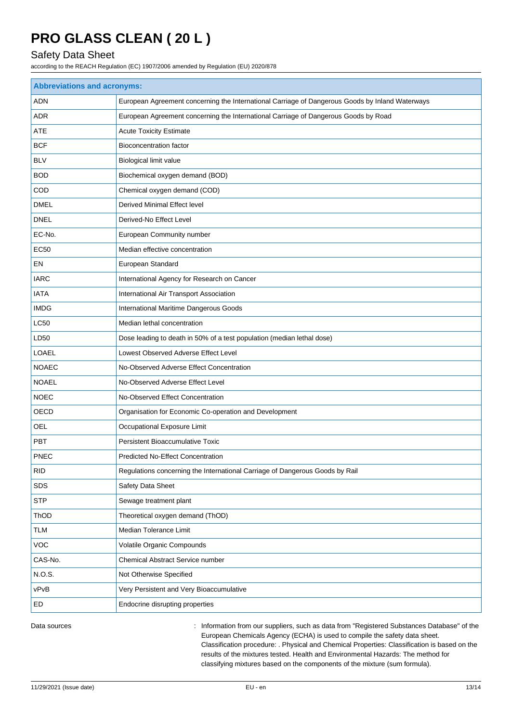## Safety Data Sheet

according to the REACH Regulation (EC) 1907/2006 amended by Regulation (EU) 2020/878

| <b>Abbreviations and acronyms:</b> |                                                                                                 |  |  |  |
|------------------------------------|-------------------------------------------------------------------------------------------------|--|--|--|
| <b>ADN</b>                         | European Agreement concerning the International Carriage of Dangerous Goods by Inland Waterways |  |  |  |
| ADR                                | European Agreement concerning the International Carriage of Dangerous Goods by Road             |  |  |  |
| <b>ATE</b>                         | <b>Acute Toxicity Estimate</b>                                                                  |  |  |  |
| <b>BCF</b>                         | Bioconcentration factor                                                                         |  |  |  |
| <b>BLV</b>                         | Biological limit value                                                                          |  |  |  |
| <b>BOD</b>                         | Biochemical oxygen demand (BOD)                                                                 |  |  |  |
| COD                                | Chemical oxygen demand (COD)                                                                    |  |  |  |
| <b>DMEL</b>                        | Derived Minimal Effect level                                                                    |  |  |  |
| <b>DNEL</b>                        | Derived-No Effect Level                                                                         |  |  |  |
| EC-No.                             | European Community number                                                                       |  |  |  |
| <b>EC50</b>                        | Median effective concentration                                                                  |  |  |  |
| EN                                 | European Standard                                                                               |  |  |  |
| <b>IARC</b>                        | International Agency for Research on Cancer                                                     |  |  |  |
| <b>IATA</b>                        | International Air Transport Association                                                         |  |  |  |
| <b>IMDG</b>                        | International Maritime Dangerous Goods                                                          |  |  |  |
| <b>LC50</b>                        | Median lethal concentration                                                                     |  |  |  |
| LD50                               | Dose leading to death in 50% of a test population (median lethal dose)                          |  |  |  |
| <b>LOAEL</b>                       | Lowest Observed Adverse Effect Level                                                            |  |  |  |
| <b>NOAEC</b>                       | No-Observed Adverse Effect Concentration                                                        |  |  |  |
| <b>NOAEL</b>                       | No-Observed Adverse Effect Level                                                                |  |  |  |
| <b>NOEC</b>                        | No-Observed Effect Concentration                                                                |  |  |  |
| OECD                               | Organisation for Economic Co-operation and Development                                          |  |  |  |
| <b>OEL</b>                         | Occupational Exposure Limit                                                                     |  |  |  |
| <b>PBT</b>                         | Persistent Bioaccumulative Toxic                                                                |  |  |  |
| <b>PNEC</b>                        | <b>Predicted No-Effect Concentration</b>                                                        |  |  |  |
| <b>RID</b>                         | Regulations concerning the International Carriage of Dangerous Goods by Rail                    |  |  |  |
| SDS                                | Safety Data Sheet                                                                               |  |  |  |
| <b>STP</b>                         | Sewage treatment plant                                                                          |  |  |  |
| ThOD                               | Theoretical oxygen demand (ThOD)                                                                |  |  |  |
| <b>TLM</b>                         | Median Tolerance Limit                                                                          |  |  |  |
| VOC                                | Volatile Organic Compounds                                                                      |  |  |  |
| CAS-No.                            | Chemical Abstract Service number                                                                |  |  |  |
| N.O.S.                             | Not Otherwise Specified                                                                         |  |  |  |
| vPvB                               | Very Persistent and Very Bioaccumulative                                                        |  |  |  |
| ED                                 | Endocrine disrupting properties                                                                 |  |  |  |

Data sources **information from our suppliers, such as data from "Registered Substances Database" of the** European Chemicals Agency (ECHA) is used to compile the safety data sheet. Classification procedure: . Physical and Chemical Properties: Classification is based on the results of the mixtures tested. Health and Environmental Hazards: The method for classifying mixtures based on the components of the mixture (sum formula).